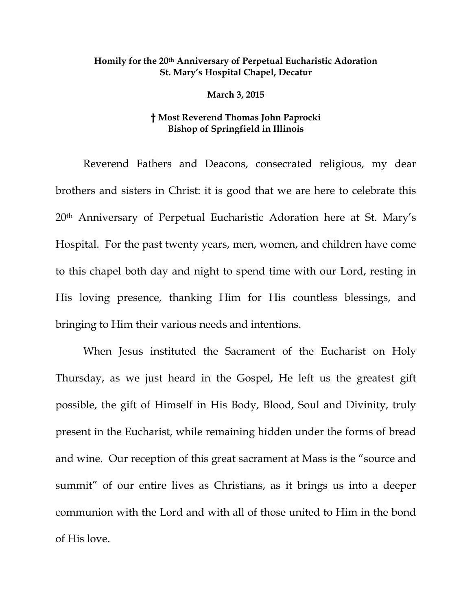## **Homily for the 20th Anniversary of Perpetual Eucharistic Adoration St. Mary's Hospital Chapel, Decatur**

**March 3, 2015** 

## **† Most Reverend Thomas John Paprocki Bishop of Springfield in Illinois**

Reverend Fathers and Deacons, consecrated religious, my dear brothers and sisters in Christ: it is good that we are here to celebrate this 20th Anniversary of Perpetual Eucharistic Adoration here at St. Mary's Hospital. For the past twenty years, men, women, and children have come to this chapel both day and night to spend time with our Lord, resting in His loving presence, thanking Him for His countless blessings, and bringing to Him their various needs and intentions.

When Jesus instituted the Sacrament of the Eucharist on Holy Thursday, as we just heard in the Gospel, He left us the greatest gift possible, the gift of Himself in His Body, Blood, Soul and Divinity, truly present in the Eucharist, while remaining hidden under the forms of bread and wine. Our reception of this great sacrament at Mass is the "source and summit" of our entire lives as Christians, as it brings us into a deeper communion with the Lord and with all of those united to Him in the bond of His love.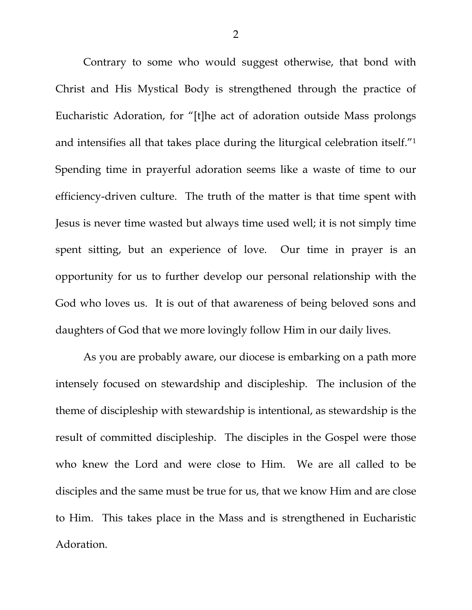Contrary to some who would suggest otherwise, that bond with Christ and His Mystical Body is strengthened through the practice of Eucharistic Adoration, for "[t]he act of adoration outside Mass prolongs and intensifies all that takes place during the liturgical celebration itself."1 Spending time in prayerful adoration seems like a waste of time to our efficiency-driven culture. The truth of the matter is that time spent with Jesus is never time wasted but always time used well; it is not simply time spent sitting, but an experience of love. Our time in prayer is an opportunity for us to further develop our personal relationship with the God who loves us. It is out of that awareness of being beloved sons and daughters of God that we more lovingly follow Him in our daily lives.

 As you are probably aware, our diocese is embarking on a path more intensely focused on stewardship and discipleship. The inclusion of the theme of discipleship with stewardship is intentional, as stewardship is the result of committed discipleship. The disciples in the Gospel were those who knew the Lord and were close to Him. We are all called to be disciples and the same must be true for us, that we know Him and are close to Him. This takes place in the Mass and is strengthened in Eucharistic Adoration.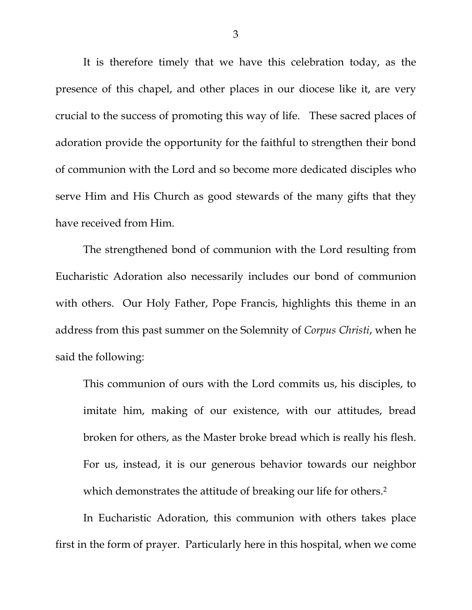It is therefore timely that we have this celebration today, as the presence of this chapel, and other places in our diocese like it, are very crucial to the success of promoting this way of life. These sacred places of adoration provide the opportunity for the faithful to strengthen their bond of communion with the Lord and so become more dedicated disciples who serve Him and His Church as good stewards of the many gifts that they have received from Him.

 The strengthened bond of communion with the Lord resulting from Eucharistic Adoration also necessarily includes our bond of communion with others. Our Holy Father, Pope Francis, highlights this theme in an address from this past summer on the Solemnity of *Corpus Christi*, when he said the following:

This communion of ours with the Lord commits us, his disciples, to imitate him, making of our existence, with our attitudes, bread broken for others, as the Master broke bread which is really his flesh. For us, instead, it is our generous behavior towards our neighbor which demonstrates the attitude of breaking our life for others.<sup>2</sup>

In Eucharistic Adoration, this communion with others takes place first in the form of prayer. Particularly here in this hospital, when we come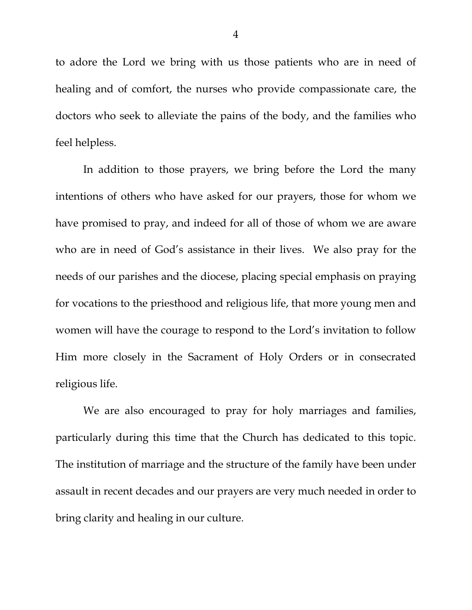to adore the Lord we bring with us those patients who are in need of healing and of comfort, the nurses who provide compassionate care, the doctors who seek to alleviate the pains of the body, and the families who feel helpless.

In addition to those prayers, we bring before the Lord the many intentions of others who have asked for our prayers, those for whom we have promised to pray, and indeed for all of those of whom we are aware who are in need of God's assistance in their lives. We also pray for the needs of our parishes and the diocese, placing special emphasis on praying for vocations to the priesthood and religious life, that more young men and women will have the courage to respond to the Lord's invitation to follow Him more closely in the Sacrament of Holy Orders or in consecrated religious life.

We are also encouraged to pray for holy marriages and families, particularly during this time that the Church has dedicated to this topic. The institution of marriage and the structure of the family have been under assault in recent decades and our prayers are very much needed in order to bring clarity and healing in our culture.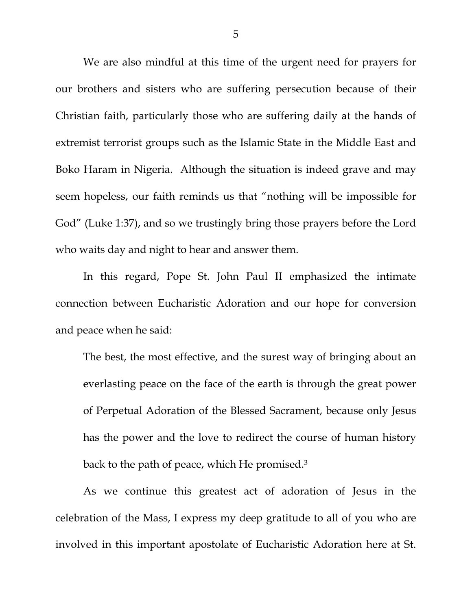We are also mindful at this time of the urgent need for prayers for our brothers and sisters who are suffering persecution because of their Christian faith, particularly those who are suffering daily at the hands of extremist terrorist groups such as the Islamic State in the Middle East and Boko Haram in Nigeria. Although the situation is indeed grave and may seem hopeless, our faith reminds us that "nothing will be impossible for God" (Luke 1:37), and so we trustingly bring those prayers before the Lord who waits day and night to hear and answer them.

In this regard, Pope St. John Paul II emphasized the intimate connection between Eucharistic Adoration and our hope for conversion and peace when he said:

The best, the most effective, and the surest way of bringing about an everlasting peace on the face of the earth is through the great power of Perpetual Adoration of the Blessed Sacrament, because only Jesus has the power and the love to redirect the course of human history back to the path of peace, which He promised.3

 As we continue this greatest act of adoration of Jesus in the celebration of the Mass, I express my deep gratitude to all of you who are involved in this important apostolate of Eucharistic Adoration here at St.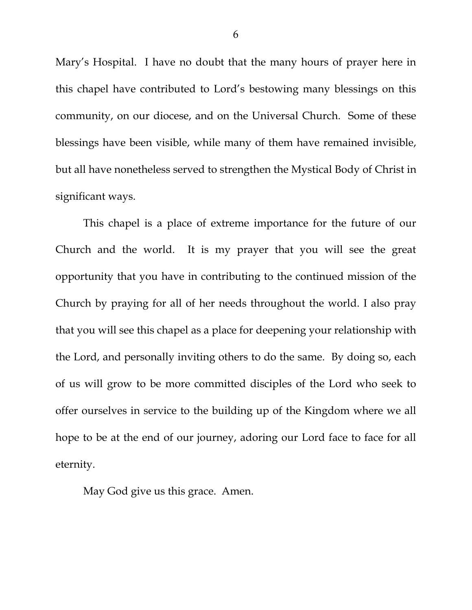Mary's Hospital. I have no doubt that the many hours of prayer here in this chapel have contributed to Lord's bestowing many blessings on this community, on our diocese, and on the Universal Church. Some of these blessings have been visible, while many of them have remained invisible, but all have nonetheless served to strengthen the Mystical Body of Christ in significant ways.

 This chapel is a place of extreme importance for the future of our Church and the world. It is my prayer that you will see the great opportunity that you have in contributing to the continued mission of the Church by praying for all of her needs throughout the world. I also pray that you will see this chapel as a place for deepening your relationship with the Lord, and personally inviting others to do the same. By doing so, each of us will grow to be more committed disciples of the Lord who seek to offer ourselves in service to the building up of the Kingdom where we all hope to be at the end of our journey, adoring our Lord face to face for all eternity.

May God give us this grace. Amen.